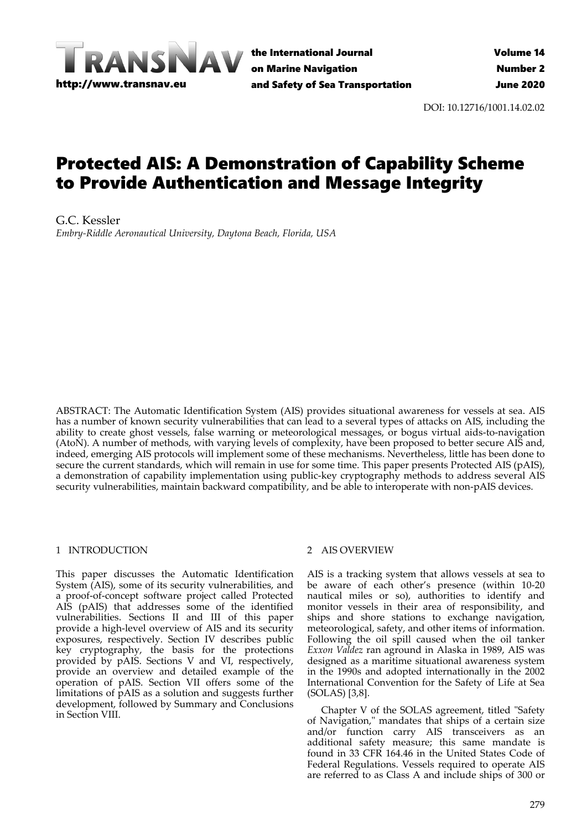

the International Journal on Marine Navigation and Safety of Sea Transportation

DOI: 10.12716/1001.14.02.02

# Protected AIS: A Demonstration of Capability Scheme to Provide Authentication and Message Integrity

G.C. Kessler *Embry-Riddle Aeronautical University, Daytona Beach, Florida, USA*

ABSTRACT: The Automatic Identification System (AIS) provides situational awareness for vessels at sea. AIS has a number of known security vulnerabilities that can lead to a several types of attacks on AIS, including the ability to create ghost vessels, false warning or meteorological messages, or bogus virtual aids-to-navigation (AtoN). A number of methods, with varying levels of complexity, have been proposed to better secure AIS and, indeed, emerging AIS protocols will implement some of these mechanisms. Nevertheless, little has been done to secure the current standards, which will remain in use for some time. This paper presents Protected AIS (pAIS), a demonstration of capability implementation using public-key cryptography methods to address several AIS security vulnerabilities, maintain backward compatibility, and be able to interoperate with non-pAIS devices.

#### 1 INTRODUCTION

This paper discusses the Automatic Identification System (AIS), some of its security vulnerabilities, and a proof-of-concept software project called Protected AIS (pAIS) that addresses some of the identified vulnerabilities. Sections II and III of this paper provide a high-level overview of AIS and its security exposures, respectively. Section IV describes public key cryptography, the basis for the protections provided by pAIS. Sections V and VI, respectively, provide an overview and detailed example of the operation of pAIS. Section VII offers some of the limitations of pAIS as a solution and suggests further development, followed by Summary and Conclusions in Section VIII.

## 2 AIS OVERVIEW

AIS is a tracking system that allows vessels at sea to be aware of each other's presence (within 10-20 nautical miles or so), authorities to identify and monitor vessels in their area of responsibility, and ships and shore stations to exchange navigation, meteorological, safety, and other items of information. Following the oil spill caused when the oil tanker *Exxon Valdez* ran aground in Alaska in 1989, AIS was designed as a maritime situational awareness system in the 1990s and adopted internationally in the 2002 International Convention for the Safety of Life at Sea (SOLAS) [3,8].

Chapter V of the SOLAS agreement, titled "Safety of Navigation," mandates that ships of a certain size and/or function carry AIS transceivers as an additional safety measure; this same mandate is found in 33 CFR 164.46 in the United States Code of Federal Regulations. Vessels required to operate AIS are referred to as Class A and include ships of 300 or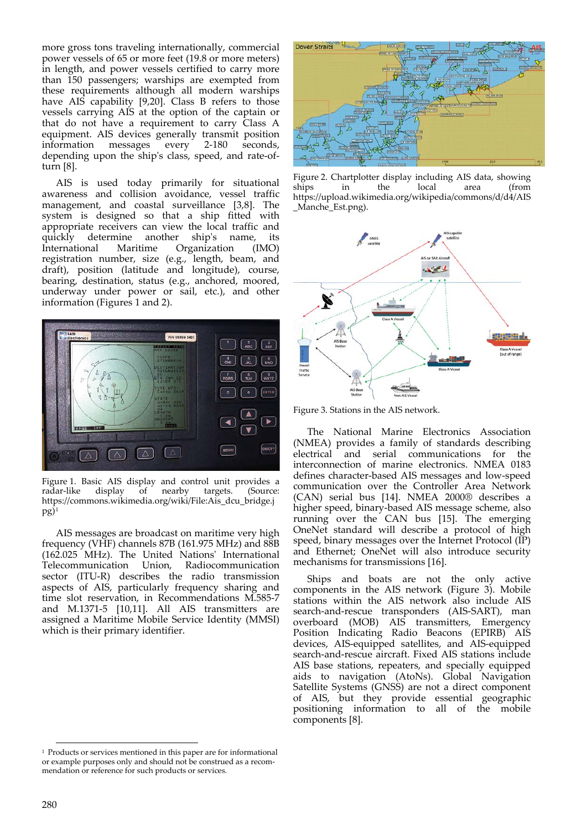more gross tons traveling internationally, commercial power vessels of 65 or more feet (19.8 or more meters) in length, and power vessels certified to carry more than 150 passengers; warships are exempted from these requirements although all modern warships have AIS capability [9,20]. Class B refers to those vessels carrying AIS at the option of the captain or that do not have a requirement to carry Class A equipment. AIS devices generally transmit position information messages every 2-180 seconds, depending upon the ship's class, speed, and rate-ofturn [8].

AIS is used today primarily for situational awareness and collision avoidance, vessel traffic management, and coastal surveillance [3,8]. The system is designed so that a ship fitted with appropriate receivers can view the local traffic and quickly determine another ship's name, its International Maritime Organization (IMO) registration number, size (e.g., length, beam, and draft), position (latitude and longitude), course, bearing, destination, status (e.g., anchored, moored, underway under power or sail, etc.), and other information (Figures 1 and 2).



Figure 1. Basic AIS display and control unit provides a radar-like display of nearby targets. (Source: https://commons.wikimedia.org/wiki/File:Ais\_dcu\_bridge.j  $pg)^1$ 

AIS messages are broadcast on maritime very high frequency (VHF) channels 87B (161.975 MHz) and 88B (162.025 MHz). The United Nations' International Telecommunication Union, Radiocommunication sector (ITU-R) describes the radio transmission aspects of AIS, particularly frequency sharing and time slot reservation, in Recommendations M.585-7 and M.1371-5 [10,11]. All AIS transmitters are assigned a Maritime Mobile Service Identity (MMSI) which is their primary identifier.



Figure 2. Chartplotter display including AIS data, showing ships in the local area (from https://upload.wikimedia.org/wikipedia/commons/d/d4/AIS \_Manche\_Est.png).



Figure 3. Stations in the AIS network.

The National Marine Electronics Association (NMEA) provides a family of standards describing electrical and serial communications for the interconnection of marine electronics. NMEA 0183 defines character-based AIS messages and low-speed communication over the Controller Area Network (CAN) serial bus [14]. NMEA 2000® describes a higher speed, binary-based AIS message scheme, also running over the CAN bus [15]. The emerging OneNet standard will describe a protocol of high speed, binary messages over the Internet Protocol (IP) and Ethernet; OneNet will also introduce security mechanisms for transmissions [16].

Ships and boats are not the only active components in the AIS network (Figure 3). Mobile stations within the AIS network also include AIS search-and-rescue transponders (AIS-SART), man overboard (MOB) AIS transmitters, Emergency Position Indicating Radio Beacons (EPIRB) AIS devices, AIS-equipped satellites, and AIS-equipped search-and-rescue aircraft. Fixed AIS stations include AIS base stations, repeaters, and specially equipped aids to navigation (AtoNs). Global Navigation Satellite Systems (GNSS) are not a direct component of AIS, but they provide essential geographic positioning information to all of the mobile components [8].

 <sup>1</sup> Products or services mentioned in this paper are for informational or example purposes only and should not be construed as a recommendation or reference for such products or services.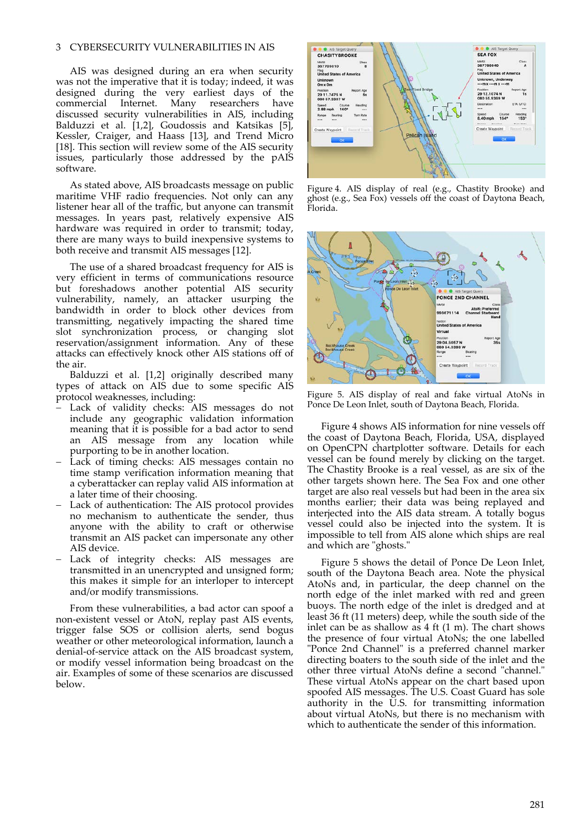#### 3 CYBERSECURITY VULNERABILITIES IN AIS

AIS was designed during an era when security was not the imperative that it is today; indeed, it was designed during the very earliest days of the commercial Internet. Many researchers have discussed security vulnerabilities in AIS, including Balduzzi et al. [1,2], Goudossis and Katsikas [5], Kessler, Craiger, and Haass [13], and Trend Micro [18]. This section will review some of the AIS security issues, particularly those addressed by the pAIS software.

As stated above, AIS broadcasts message on public maritime VHF radio frequencies. Not only can any listener hear all of the traffic, but anyone can transmit messages. In years past, relatively expensive AIS hardware was required in order to transmit; today, there are many ways to build inexpensive systems to both receive and transmit AIS messages [12].

The use of a shared broadcast frequency for AIS is very efficient in terms of communications resource but foreshadows another potential AIS security vulnerability, namely, an attacker usurping the bandwidth in order to block other devices from transmitting, negatively impacting the shared time slot synchronization process, or changing slot reservation/assignment information. Any of these attacks can effectively knock other AIS stations off of the air.

Balduzzi et al. [1,2] originally described many types of attack on AIS due to some specific AIS protocol weaknesses, including:

- − Lack of validity checks: AIS messages do not include any geographic validation information meaning that it is possible for a bad actor to send an AIS message from any location while purporting to be in another location.
- Lack of timing checks: AIS messages contain no time stamp verification information meaning that a cyberattacker can replay valid AIS information at a later time of their choosing.
- Lack of authentication: The AIS protocol provides no mechanism to authenticate the sender, thus anyone with the ability to craft or otherwise transmit an AIS packet can impersonate any other AIS device.
- − Lack of integrity checks: AIS messages are transmitted in an unencrypted and unsigned form; this makes it simple for an interloper to intercept and/or modify transmissions.

From these vulnerabilities, a bad actor can spoof a non-existent vessel or AtoN, replay past AIS events, trigger false SOS or collision alerts, send bogus weather or other meteorological information, launch a denial-of-service attack on the AIS broadcast system, or modify vessel information being broadcast on the air. Examples of some of these scenarios are discussed below.



Figure 4. AIS display of real (e.g., Chastity Brooke) and ghost (e.g., Sea Fox) vessels off the coast of Daytona Beach, Florida.



Figure 5. AIS display of real and fake virtual AtoNs in Ponce De Leon Inlet, south of Daytona Beach, Florida.

Figure 4 shows AIS information for nine vessels off the coast of Daytona Beach, Florida, USA, displayed on OpenCPN chartplotter software. Details for each vessel can be found merely by clicking on the target. The Chastity Brooke is a real vessel, as are six of the other targets shown here. The Sea Fox and one other target are also real vessels but had been in the area six months earlier; their data was being replayed and interjected into the AIS data stream. A totally bogus vessel could also be injected into the system. It is impossible to tell from AIS alone which ships are real and which are "ghosts."

Figure 5 shows the detail of Ponce De Leon Inlet, south of the Daytona Beach area. Note the physical AtoNs and, in particular, the deep channel on the north edge of the inlet marked with red and green buoys. The north edge of the inlet is dredged and at least 36 ft (11 meters) deep, while the south side of the inlet can be as shallow as  $4 \text{ ft } (1 \text{ m})$ . The chart shows the presence of four virtual AtoNs; the one labelled "Ponce 2nd Channel" is a preferred channel marker directing boaters to the south side of the inlet and the other three virtual AtoNs define a second "channel." These virtual AtoNs appear on the chart based upon spoofed AIS messages. The U.S. Coast Guard has sole authority in the U.S. for transmitting information about virtual AtoNs, but there is no mechanism with which to authenticate the sender of this information.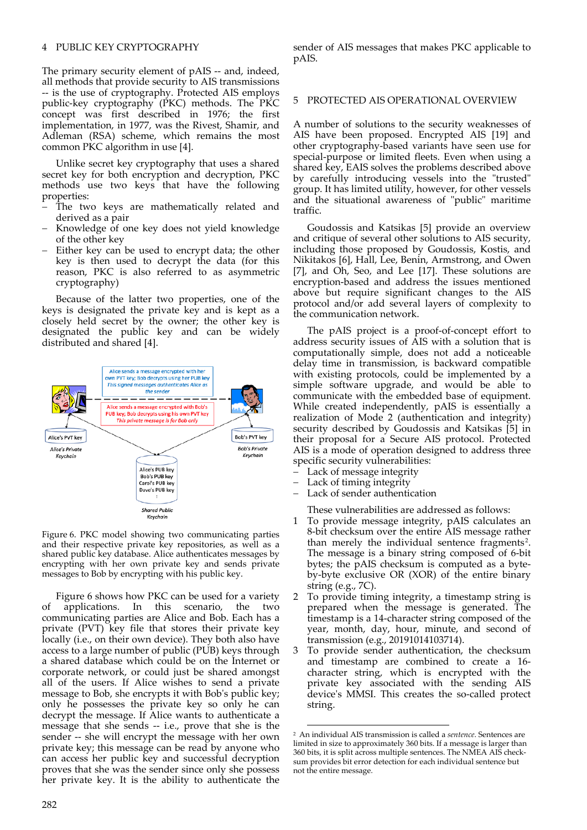## 4 PUBLIC KEY CRYPTOGRAPHY

The primary security element of pAIS -- and, indeed, all methods that provide security to AIS transmissions -- is the use of cryptography. Protected AIS employs public-key cryptography (PKC) methods. The PKC concept was first described in 1976; the first implementation, in 1977, was the Rivest, Shamir, and Adleman (RSA) scheme, which remains the most common PKC algorithm in use [4].

Unlike secret key cryptography that uses a shared secret key for both encryption and decryption, PKC methods use two keys that have the following properties:

- The two keys are mathematically related and derived as a pair
- Knowledge of one key does not yield knowledge of the other key
- Either key can be used to encrypt data; the other key is then used to decrypt the data (for this reason, PKC is also referred to as asymmetric cryptography)

Because of the latter two properties, one of the keys is designated the private key and is kept as a closely held secret by the owner; the other key is designated the public key and can be widely distributed and shared [4].



Figure 6. PKC model showing two communicating parties and their respective private key repositories, as well as a shared public key database. Alice authenticates messages by encrypting with her own private key and sends private messages to Bob by encrypting with his public key.

<span id="page-3-0"></span>Figure 6 shows how PKC can be used for a variety of applications. In this scenario, the two communicating parties are Alice and Bob. Each has a private (PVT) key file that stores their private key locally (i.e., on their own device). They both also have access to a large number of public (PUB) keys through a shared database which could be on the Internet or corporate network, or could just be shared amongst all of the users. If Alice wishes to send a private message to Bob, she encrypts it with Bob's public key; only he possesses the private key so only he can decrypt the message. If Alice wants to authenticate a message that she sends -- i.e., prove that she is the sender -- she will encrypt the message with her own private key; this message can be read by anyone who can access her public key and successful decryption proves that she was the sender since only she possess her private key. It is the ability to authenticate the sender of AIS messages that makes PKC applicable to pAIS.

#### 5 PROTECTED AIS OPERATIONAL OVERVIEW

A number of solutions to the security weaknesses of AIS have been proposed. Encrypted AIS [19] and other cryptography-based variants have seen use for special-purpose or limited fleets. Even when using a shared key, EAIS solves the problems described above by carefully introducing vessels into the "trusted" group. It has limited utility, however, for other vessels and the situational awareness of "public" maritime traffic.

Goudossis and Katsikas [5] provide an overview and critique of several other solutions to AIS security, including those proposed by Goudossis, Kostis, and Nikitakos [6], Hall, Lee, Benin, Armstrong, and Owen [7], and Oh, Seo, and Lee [17]. These solutions are encryption-based and address the issues mentioned above but require significant changes to the AIS protocol and/or add several layers of complexity to the communication network.

The pAIS project is a proof-of-concept effort to address security issues of AIS with a solution that is computationally simple, does not add a noticeable delay time in transmission, is backward compatible with existing protocols, could be implemented by a simple software upgrade, and would be able to communicate with the embedded base of equipment. While created independently, pAIS is essentially a realization of Mode 2 (authentication and integrity) security described by Goudossis and Katsikas [5] in their proposal for a Secure AIS protocol. Protected AIS is a mode of operation designed to address three specific security vulnerabilities:

- Lack of message integrity
- Lack of timing integrity
- Lack of sender authentication
- These vulnerabilities are addressed as follows:
- 1 To provide message integrity, pAIS calculates an 8-bit checksum over the entire AIS message rather than merely the individual sentence fragments<sup>[2](#page-3-0)</sup>. The message is a binary string composed of 6-bit bytes; the pAIS checksum is computed as a byteby-byte exclusive OR (XOR) of the entire binary string (e.g., 7C).
- 2 To provide timing integrity, a timestamp string is prepared when the message is generated. The timestamp is a 14-character string composed of the year, month, day, hour, minute, and second of transmission (e.g., 20191014103714).
- 3 To provide sender authentication, the checksum and timestamp are combined to create a 16 character string, which is encrypted with the private key associated with the sending AIS device's MMSI. This creates the so-called protect string.

 <sup>2</sup> An individual AIS transmission is called a *sentence*. Sentences are limited in size to approximately 360 bits. If a message is larger than 360 bits, it is split across multiple sentences. The NMEA AIS checksum provides bit error detection for each individual sentence but not the entire message.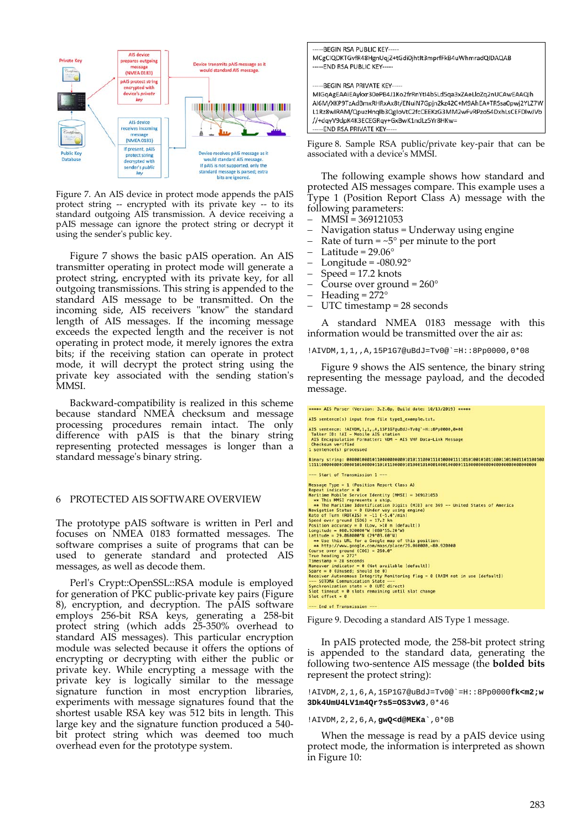

Figure 7. An AIS device in protect mode appends the pAIS protect string -- encrypted with its private key -- to its standard outgoing AIS transmission. A device receiving a pAIS message can ignore the protect string or decrypt it using the sender's public key.

Figure 7 shows the basic pAIS operation. An AIS transmitter operating in protect mode will generate a protect string, encrypted with its private key, for all outgoing transmissions. This string is appended to the standard AIS message to be transmitted. On the incoming side, AIS receivers "know" the standard length of AIS messages. If the incoming message exceeds the expected length and the receiver is not operating in protect mode, it merely ignores the extra bits; if the receiving station can operate in protect mode, it will decrypt the protect string using the private key associated with the sending station's MMSI.

Backward-compatibility is realized in this scheme because standard NMEA checksum and message processing procedures remain intact. The only difference with pAIS is that the binary string representing protected messages is longer than a standard message's binary string.

#### 6 PROTECTED AIS SOFTWARE OVERVIEW

The prototype pAIS software is written in Perl and focuses on NMEA 0183 formatted messages. The software comprises a suite of programs that can be used to generate standard and protected AIS messages, as well as decode them.

Perl's Crypt::OpenSSL::RSA module is employed for generation of PKC public-private key pairs (Figure 8), encryption, and decryption. The pAIS software employs 256-bit RSA keys, generating a 258-bit protect string (which adds 25-350% overhead to standard AIS messages). This particular encryption module was selected because it offers the options of encrypting or decrypting with either the public or private key. While encrypting a message with the private key is logically similar to the message signature function in most encryption libraries, experiments with message signatures found that the shortest usable RSA key was 512 bits in length. This large key and the signature function produced a 540 bit protect string which was deemed too much overhead even for the prototype system.



Figure 8. Sample RSA public/private key-pair that can be associated with a device's MMSI.

The following example shows how standard and protected AIS messages compare. This example uses a Type 1 (Position Report Class A) message with the following parameters:

- − MMSI = 369121053
- − Navigation status = Underway using engine
- Rate of turn =  $~5^\circ$  per minute to the port
- Latitude =  $29.06^\circ$
- Longitude =  $-080.92^\circ$
- − Speed = 17.2 knots
- − Course over ground = 260°
- $Heading = 272°$
- UTC timestamp = 28 seconds

A standard NMEA 0183 message with this information would be transmitted over the air as:

!AIVDM,1,1,,A,15P1G7@uBdJ=Tv0@`=H::8Pp0000,0\*08

Figure 9 shows the AIS sentence, the binary string representing the message payload, and the decoded message.

| ***** AIS Parser (Version: 3.2.8p, Build date: 10/13/2019) *****                                                   |  |  |  |  |
|--------------------------------------------------------------------------------------------------------------------|--|--|--|--|
| AIS sentence(s) input from file type1_example.txt.                                                                 |  |  |  |  |
| AIS sentence: !AIVDM.1.1A.15P1G7@uBdJ=Tv8@`=H::8Pp0000.0*08<br>Talker ID: !AI - Mobile AIS station                 |  |  |  |  |
| AIS Encapsulation Formatter: VDM - AIS VHF Data-Link Message<br>Checksum verified                                  |  |  |  |  |
| 1 sentence(s) processed                                                                                            |  |  |  |  |
|                                                                                                                    |  |  |  |  |
| --- Start of Transmission 1 ---                                                                                    |  |  |  |  |
| Message Type = $1$ (Position Report Class A)<br>Repeat indicator = $0$                                             |  |  |  |  |
| Maritime Mobile Service Identity (MMSI) = 369121053                                                                |  |  |  |  |
| ** This MMSI represents a ship.<br>** The Maritime Identification Digits (MID) are 369 -- United States of America |  |  |  |  |
| Navigation Status = $0$ (Under way using engine)<br>Rate of Turn (ROTAIS) = $-11$ ( $-5.4^{\circ}/\text{min}$ )    |  |  |  |  |
| Speed over ground $(S0G) = 17.2$ kn<br>Position accuracy = $0$ (Low, >10 m [default])                              |  |  |  |  |
| Longitude = $0.9200000^{\circ}$ W (080°55.20'W)                                                                    |  |  |  |  |
| $Latitude = 29.060000°N (29°03.60°N)$<br>** Use this URL for a Google map of this position:                        |  |  |  |  |
| ** http://www.google.com/maps/place/29.060000,-80.920000<br>Course over ground $(COG) = 260.0^{\circ}$             |  |  |  |  |
| True heading = $272^\circ$<br>$T$ imestamp = 28 seconds                                                            |  |  |  |  |
| Maneuver indicator = 0 (Not available [default])                                                                   |  |  |  |  |
| Spare = $0$ (Unused; should be 0)<br>Receiver Autonomous Integrity Monitoring flag = 0 (RAIM not in use [default]) |  |  |  |  |
| --- SOTDMA Communication State ---<br>Synchronization state = $0$ (UTC direct)                                     |  |  |  |  |
| Slot timeout = $\theta$ slots remaining until slot change<br>Slot offset = $0$                                     |  |  |  |  |
| --- End of Transmission ---                                                                                        |  |  |  |  |

Figure 9. Decoding a standard AIS Type 1 message.

In pAIS protected mode, the 258-bit protect string is appended to the standard data, generating the following two-sentence AIS message (the **bolded bits** represent the protect string):

!AIVDM,2,1,6,A,15P1G7@uBdJ=Tv0@`=H::8Pp0000**fk<m2;w 3Dk4UmU4LV1m4Qr?s5=OS3vW3**,0\*46

!AIVDM,2,2,6,A,**gwQ<d@MEKa`**,0\*0B

When the message is read by a pAIS device using protect mode, the information is interpreted as shown in Figure 10: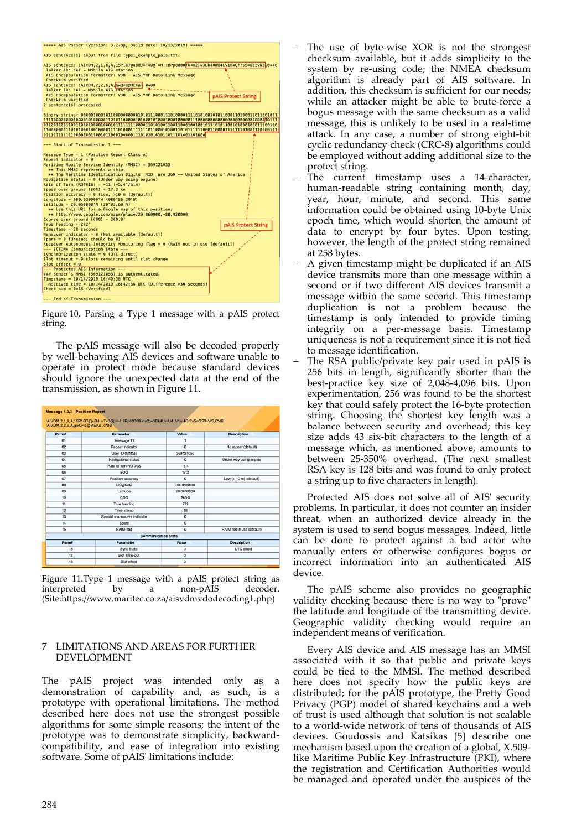

Figure 10. Parsing a Type 1 message with a pAIS protect string.

The pAIS message will also be decoded properly by well-behaving AIS devices and software unable to operate in protect mode because standard devices should ignore the unexpected data at the end of the transmission, as shown in Figure 11.

| !AIVDM.2.2.6.A.gwQ <d@meka`,0*0b< th=""><th>!AIVDM.2.1.6.A.15P1G7@uBdJ=Tv0@`=H::8Pp0000fk<m2:w3dk4umu4lv1m4qr?s5=os3vw3.0*46< th=""><th></th><th></th></m2:w3dk4umu4lv1m4qr?s5=os3vw3.0*46<></th></d@meka`,0*0b<> | !AIVDM.2.1.6.A.15P1G7@uBdJ=Tv0@`=H::8Pp0000fk <m2:w3dk4umu4lv1m4qr?s5=os3vw3.0*46< th=""><th></th><th></th></m2:w3dk4umu4lv1m4qr?s5=os3vw3.0*46<> |             |                                 |  |
|-------------------------------------------------------------------------------------------------------------------------------------------------------------------------------------------------------------------|---------------------------------------------------------------------------------------------------------------------------------------------------|-------------|---------------------------------|--|
| Parm#                                                                                                                                                                                                             | <b>Parameter</b>                                                                                                                                  | Value       | <b>Description</b>              |  |
| 01                                                                                                                                                                                                                | Message ID                                                                                                                                        | ۹           |                                 |  |
| 02                                                                                                                                                                                                                | Repeat indicator                                                                                                                                  | $\Omega$    | No repeat (default)             |  |
| 03 <sup>°</sup>                                                                                                                                                                                                   | User ID (MMSI)                                                                                                                                    | 369121053   |                                 |  |
| 04                                                                                                                                                                                                                | Navigational status                                                                                                                               | $\Omega$    | Under way using engine          |  |
| 05                                                                                                                                                                                                                | Rate of turn ROTAIS                                                                                                                               | $-5.4$      |                                 |  |
| 06                                                                                                                                                                                                                | SOG                                                                                                                                               | 17.2        |                                 |  |
| 07                                                                                                                                                                                                                | Position accuracy                                                                                                                                 | $^{\circ}$  | Low $(>10 \text{ m})$ (default) |  |
| 08                                                                                                                                                                                                                | Longitude                                                                                                                                         | 80.9200000  |                                 |  |
| 09                                                                                                                                                                                                                | Latitude                                                                                                                                          | 29.0600000  |                                 |  |
| 10                                                                                                                                                                                                                | COG                                                                                                                                               | 260.0       |                                 |  |
| 11                                                                                                                                                                                                                | True heading                                                                                                                                      | 272         |                                 |  |
| 12                                                                                                                                                                                                                | Time stamp                                                                                                                                        | 28          |                                 |  |
| 13                                                                                                                                                                                                                | Special manoeuvre indicator                                                                                                                       | $^{\circ}$  |                                 |  |
| 14                                                                                                                                                                                                                | Spare                                                                                                                                             | $\mathbf 0$ |                                 |  |
| 15                                                                                                                                                                                                                | RAIM-flag                                                                                                                                         | $^{\circ}$  | RAIM not in use (default)       |  |
| <b>Communication State</b>                                                                                                                                                                                        |                                                                                                                                                   |             |                                 |  |
| Parm#                                                                                                                                                                                                             | Parameter                                                                                                                                         | Value       | <b>Description</b>              |  |
| 16                                                                                                                                                                                                                | Sync State                                                                                                                                        | $\Omega$    | <b>UTC</b> direct               |  |
| 17                                                                                                                                                                                                                | Slot Time-out                                                                                                                                     | $\circ$     |                                 |  |
| 18                                                                                                                                                                                                                | Slot offset                                                                                                                                       | $\circ$     |                                 |  |

Figure 11.Type 1 message with a pAIS protect string as interpreted by a non-pAIS decoder. (Site:https://www.maritec.co.za/aisvdmvdodecoding1.php)

#### 7 LIMITATIONS AND AREAS FOR FURTHER DEVELOPMENT

The pAIS project was intended only as a demonstration of capability and, as such, is a prototype with operational limitations. The method described here does not use the strongest possible algorithms for some simple reasons; the intent of the prototype was to demonstrate simplicity, backwardcompatibility, and ease of integration into existing software. Some of pAIS' limitations include:

- The use of byte-wise XOR is not the strongest checksum available, but it adds simplicity to the system by re-using code; the NMEA checksum algorithm is already part of AIS software. In addition, this checksum is sufficient for our needs; while an attacker might be able to brute-force a bogus message with the same checksum as a valid message, this is unlikely to be used in a real-time attack. In any case, a number of strong eight-bit cyclic redundancy check (CRC-8) algorithms could be employed without adding additional size to the protect string.
- − The current timestamp uses a 14-character, human-readable string containing month, day, year, hour, minute, and second. This same information could be obtained using 10-byte Unix epoch time, which would shorten the amount of data to encrypt by four bytes. Upon testing, however, the length of the protect string remained at 258 bytes.
- A given timestamp might be duplicated if an AIS device transmits more than one message within a second or if two different AIS devices transmit a message within the same second. This timestamp duplication is not a problem because the timestamp is only intended to provide timing integrity on a per-message basis. Timestamp uniqueness is not a requirement since it is not tied to message identification.
- The RSA public/private key pair used in pAIS is 256 bits in length, significantly shorter than the best-practice key size of 2,048-4,096 bits. Upon experimentation, 256 was found to be the shortest key that could safely protect the 16-byte protection string. Choosing the shortest key length was a balance between security and overhead; this key size adds 43 six-bit characters to the length of a message which, as mentioned above, amounts to between 25-350% overhead. (The next smallest RSA key is 128 bits and was found to only protect a string up to five characters in length).

Protected AIS does not solve all of AIS' security problems. In particular, it does not counter an insider threat, when an authorized device already in the system is used to send bogus messages. Indeed, little can be done to protect against a bad actor who manually enters or otherwise configures bogus or incorrect information into an authenticated AIS device.

The pAIS scheme also provides no geographic validity checking because there is no way to "prove" the latitude and longitude of the transmitting device. Geographic validity checking would require an independent means of verification.

Every AIS device and AIS message has an MMSI associated with it so that public and private keys could be tied to the MMSI. The method described here does not specify how the public keys are distributed; for the pAIS prototype, the Pretty Good Privacy (PGP) model of shared keychains and a web of trust is used although that solution is not scalable to a world-wide network of tens of thousands of AIS devices. Goudossis and Katsikas [5] describe one mechanism based upon the creation of a global, X.509 like Maritime Public Key Infrastructure (PKI), where the registration and Certification Authorities would be managed and operated under the auspices of the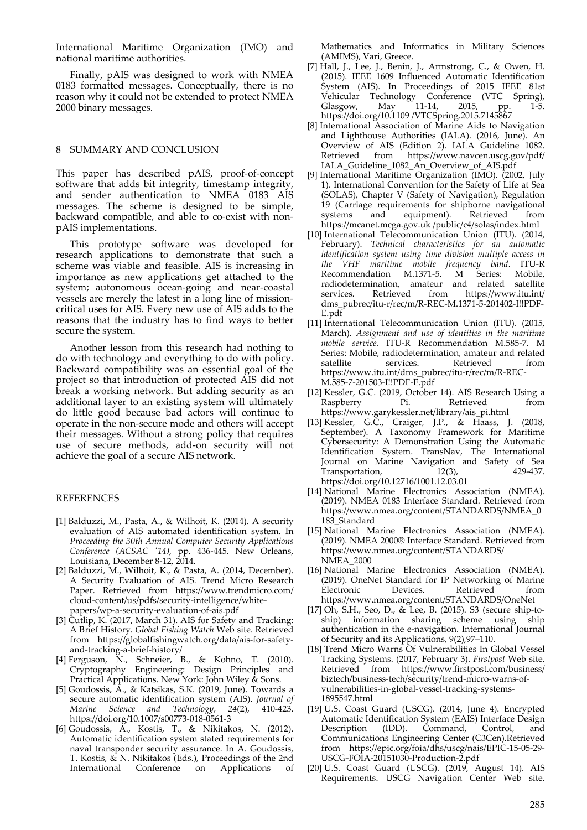International Maritime Organization (IMO) and national maritime authorities.

Finally, pAIS was designed to work with NMEA 0183 formatted messages. Conceptually, there is no reason why it could not be extended to protect NMEA 2000 binary messages.

### 8 SUMMARY AND CONCLUSION

This paper has described pAIS, proof-of-concept software that adds bit integrity, timestamp integrity, and sender authentication to NMEA 0183 AIS messages. The scheme is designed to be simple, backward compatible, and able to co-exist with nonpAIS implementations.

This prototype software was developed for research applications to demonstrate that such a scheme was viable and feasible. AIS is increasing in importance as new applications get attached to the system; autonomous ocean-going and near-coastal vessels are merely the latest in a long line of missioncritical uses for AIS. Every new use of AIS adds to the reasons that the industry has to find ways to better secure the system.

Another lesson from this research had nothing to do with technology and everything to do with policy. Backward compatibility was an essential goal of the project so that introduction of protected AIS did not break a working network. But adding security as an additional layer to an existing system will ultimately do little good because bad actors will continue to operate in the non-secure mode and others will accept their messages. Without a strong policy that requires use of secure methods, add-on security will not achieve the goal of a secure AIS network.

#### REFERENCES

- [1] Balduzzi, M., Pasta, A., & Wilhoit, K. (2014). A security evaluation of AIS automated identification system. In *Proceeding the 30th Annual Computer Security Applications Conference (ACSAC '14)*, pp. 436-445. New Orleans, Louisiana, December 8-12, 2014.
- [2] Balduzzi, M., Wilhoit, K., & Pasta, A. (2014, December). A Security Evaluation of AIS. Trend Micro Research Paper. Retrieved from https://www.trendmicro.com/ cloud-content/us/pdfs/security-intelligence/whitepapers/wp-a-security-evaluation-of-ais.pdf
- [3] Cutlip, K. (2017, March 31). AIS for Safety and Tracking: A Brief History. *Global Fishing Watch* Web site. Retrieved from https://globalfishingwatch.org/data/ais-for-safetyand-tracking-a-brief-history/
- [4] Ferguson, N., Schneier, B., & Kohno, T. (2010). Cryptography Engineering: Design Principles and Practical Applications. New York: John Wiley & Sons.
- [5] Goudossis, A., & Katsikas, S.K. (2019, June). Towards a secure automatic identification system (AIS). *Journal of Marine Science and Technology*, *24*(2), 410-423. https://doi.org/10.1007/s00773-018-0561-3
- [6] Goudossis, A., Kostis, T., & Nikitakos, N. (2012). Automatic identification system stated requirements for naval transponder security assurance. In A. Goudossis, T. Kostis, & N. Nikitakos (Eds.), Proceedings of the 2nd International Conference on Applications of

Mathematics and Informatics in Military Sciences (AMIMS), Vari, Greece.

- [7] Hall, J., Lee, J., Benin, J., Armstrong, C., & Owen, H. (2015). IEEE 1609 Influenced Automatic Identification System (AIS). In Proceedings of 2015 IEEE 81st Vehicular Technology Conference (VTC Spring), Glasgow, May 11-14, 2015, pp. 1-5. https://doi.org/10.1109 /VTCSpring.2015.7145867
- [8] International Association of Marine Aids to Navigation and Lighthouse Authorities (IALA). (2016, June). An Overview of AIS (Edition 2). IALA Guideline 1082. Retrieved from https://www.navcen.uscg.gov/pdf/ IALA\_Guideline\_1082\_An\_Overview\_of\_AIS.pdf
- [9] International Maritime Organization (IMO). (2002, July 1). International Convention for the Safety of Life at Sea (SOLAS), Chapter V (Safety of Navigation), Regulation 19 (Carriage requirements for shipborne navigational systems and equipment). Retrieved https://mcanet.mcga.gov.uk /public/c4/solas/index.html
- [10] International Telecommunication Union (ITU). (2014, February). *Technical characteristics for an automatic identification system using time division multiple access in the VHF maritime mobile frequency band*. ITU-R Recommendation M.1371-5. M Series: Mobile, radiodetermination, amateur and related satellite services. Retrieved from https://www.itu.int/ dms\_pubrec/itu-r/rec/m/R-REC-M.1371-5-201402-I!!PDF-E.pdf
- [11] International Telecommunication Union (ITU). (2015, March). *Assignment and use of identities in the maritime mobile service.* ITU-R Recommendation M.585-7. M Series: Mobile, radiodetermination, amateur and related satellite services. Retrieved from https://www.itu.int/dms\_pubrec/itu-r/rec/m/R-REC-M.585-7-201503-I!!PDF-E.pdf
- [12] Kessler, G.C. (2019, October 14). AIS Research Using a Raspberry Pi. Retrieved from https://www.garykessler.net/library/ais\_pi.html
- [13] Kessler, G.C., Craiger, J.P., & Haass, J. (2018, September). A Taxonomy Framework for Maritime Cybersecurity: A Demonstration Using the Automatic Identification System. TransNav, The International Journal on Marine Navigation and Safety of Sea Transportation, 12(3), 429-437. https://doi.org/10.12716/1001.12.03.01
- [14] National Marine Electronics Association (NMEA). (2019). NMEA 0183 Interface Standard. Retrieved from https://www.nmea.org/content/STANDARDS/NMEA\_0 183\_Standard
- [15] National Marine Electronics Association (NMEA). (2019). NMEA 2000® Interface Standard. Retrieved from https://www.nmea.org/content/STANDARDS/ NMEA\_2000
- [16] National Marine Electronics Association (NMEA). (2019). OneNet Standard for IP Networking of Marine Electronic Devices. Retrieved from https://www.nmea.org/content/STANDARDS/OneNet
- [17] Oh, S.H., Seo, D., & Lee, B. (2015). S3 (secure ship-toship) information sharing scheme using ship authentication in the e-navigation. International Journal of Security and its Applications, 9(2),97–110.
- [18] Trend Micro Warns Of Vulnerabilities In Global Vessel Tracking Systems. (2017, February 3). *Firstpost* Web site. Retrieved from https://www.firstpost.com/business/ biztech/business-tech/security/trend-micro-warns-ofvulnerabilities-in-global-vessel-tracking-systems-1895547.html
- [19] U.S. Coast Guard (USCG). (2014, June 4). Encrypted Automatic Identification System (EAIS) Interface Design Description (IDD). Command, Control, and Communications Engineering Center (C3Cen).Retrieved from https://epic.org/foia/dhs/uscg/nais/EPIC-15-05-29- USCG-FOIA-20151030-Production-2.pdf
- [20] U.S. Coast Guard (USCG). (2019, August 14). AIS Requirements. USCG Navigation Center Web site.